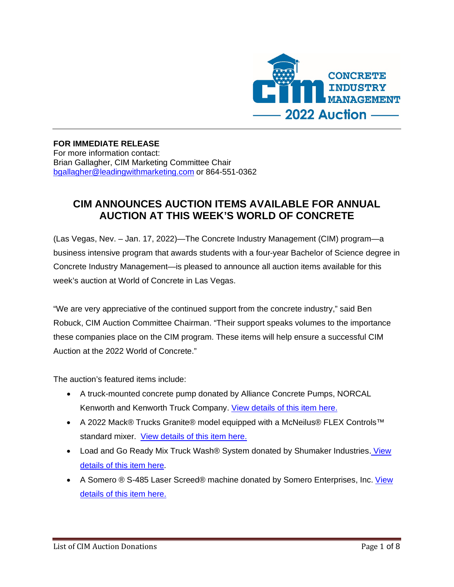

### **FOR IMMEDIATE RELEASE**

For more information contact: Brian Gallagher, CIM Marketing Committee Chair [bgallagher@leadingwithmarketing.com](mailto:bgallagher@leadingwithmarketing.com) or 864-551-0362

## **CIM ANNOUNCES AUCTION ITEMS AVAILABLE FOR ANNUAL AUCTION AT THIS WEEK'S WORLD OF CONCRETE**

(Las Vegas, Nev. – Jan. 17, 2022)—The Concrete Industry Management (CIM) program—a business intensive program that awards students with a four-year Bachelor of Science degree in Concrete Industry Management—is pleased to announce all auction items available for this week's auction at World of Concrete in Las Vegas.

"We are very appreciative of the continued support from the concrete industry," said Ben Robuck, CIM Auction Committee Chairman. "Their support speaks volumes to the importance these companies place on the CIM program. These items will help ensure a successful CIM Auction at the 2022 World of Concrete."

The auction's featured items include:

- A truck-mounted concrete pump donated by Alliance Concrete Pumps, NORCAL Kenworth and Kenworth Truck Company. [View details of this item here.](https://www.concretedegree.com/wp-content/uploads/2021/12/CIM2022_AllianceConcretePumpsSellSheet12152021-1.pdf)
- A 2022 Mack® Trucks Granite® model equipped with a McNeilus® FLEX Controls™ standard mixer. [View details of this item here.](https://www.concretedegree.com/wp-content/uploads/2021/12/CIM2022_TrucksSellSheet.pdf)
- Load and Go Ready Mix Truck Wash® System donated by Shumaker Industries. [View](https://www.concretedegree.com/wp-content/uploads/2021/12/CIM2022_LoadGoSellSheet-1.pdf)  [details of this item here.](https://www.concretedegree.com/wp-content/uploads/2021/12/CIM2022_LoadGoSellSheet-1.pdf)
- A Somero ® S-485 Laser Screed® machine donated by Somero Enterprises, Inc. View [details of this item here.](https://www.concretedegree.com/wp-content/uploads/2021/12/CIM2022_SomeroSellSheet.pdf)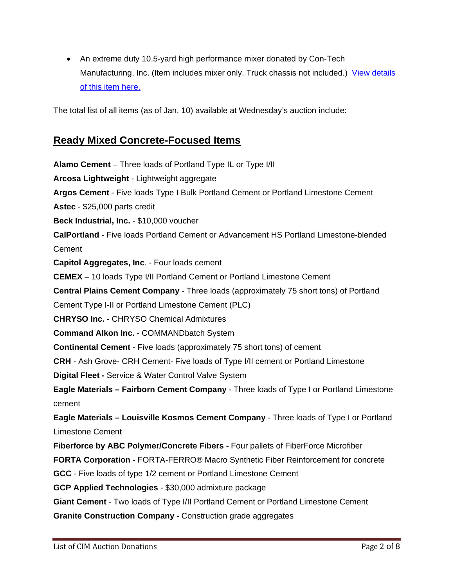• An extreme duty 10.5-yard high performance mixer donated by Con-Tech Manufacturing, Inc. (Item includes mixer only. Truck chassis not included.) View details [of this item here.](https://www.concretedegree.com/wp-content/uploads/2022/01/CIM2022_ConTechSellSheet.pdf)

The total list of all items (as of Jan. 10) available at Wednesday's auction include:

### **Ready Mixed Concrete-Focused Items**

**Alamo Cement** – Three loads of Portland Type IL or Type I/II **Arcosa [Lightweight](https://arcosalightweight.com/)** - Lightweight aggregate **Argos Cement** - Five loads Type I Bulk Portland Cement or Portland Limestone Cement **Astec** - \$25,000 parts credit **Beck Industrial, Inc.** - \$10,000 voucher **CalPortland** - Five loads Portland Cement or Advancement HS Portland Limestone-blended Cement **Capitol Aggregates, Inc**. - Four loads cement **CEMEX** – 10 loads Type I/II Portland Cement or Portland Limestone Cement **Central Plains Cement Company** - Three loads (approximately 75 short tons) of Portland Cement Type I-II or Portland Limestone Cement (PLC) **CHRYSO Inc.** - CHRYSO Chemical Admixtures **Command Alkon Inc.** - COMMANDbatch System **Continental Cement** - Five loads (approximately 75 short tons) of cement **CRH** - Ash Grove- CRH Cement- Five loads of Type I/II cement or Portland Limestone **Digital Fleet -** Service & Water Control Valve System **Eagle Materials – Fairborn Cement Company** - Three loads of Type I or Portland Limestone cement **Eagle Materials – Louisville Kosmos Cement Company** - Three loads of Type I or Portland Limestone Cement **Fiberforce by ABC Polymer/Concrete Fibers -** Four pallets of FiberForce Microfiber **FORTA Corporation** - FORTA-FERRO® Macro Synthetic Fiber Reinforcement for concrete **GCC** - Five loads of type 1/2 cement or Portland Limestone Cement **GCP Applied Technologies** - \$30,000 admixture package **Giant Cement** - Two loads of Type I/II Portland Cement or Portland Limestone Cement **Granite Construction Company -** Construction grade aggregates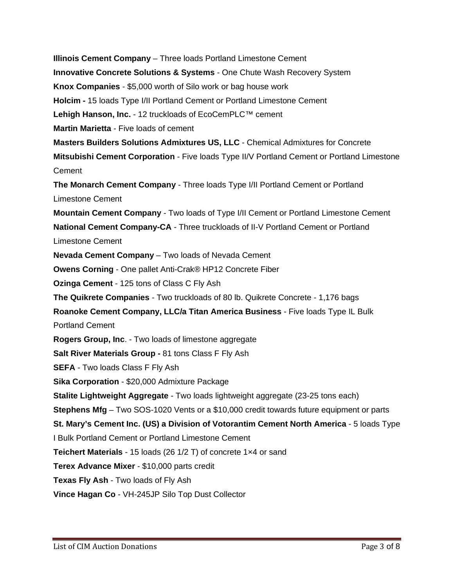**Illinois Cement Company** – Three loads Portland Limestone Cement **Innovative Concrete Solutions & Systems** - One Chute Wash Recovery System **Knox Companies** - \$5,000 worth of Silo work or bag house work **Holcim -** 15 loads Type I/II Portland Cement or Portland Limestone Cement **Lehigh Hanson, Inc.** - 12 truckloads of EcoCemPLC™ cement **Martin Marietta** - Five loads of cement **Masters Builders Solutions Admixtures US, LLC** - Chemical Admixtures for Concrete **Mitsubishi Cement Corporation** - Five loads Type II/V Portland Cement or Portland Limestone Cement **The Monarch Cement Company** - Three loads Type I/II Portland Cement or Portland Limestone Cement **Mountain Cement Company** - Two loads of Type I/II Cement or Portland Limestone Cement **National Cement Company-CA** - Three truckloads of II-V Portland Cement or Portland Limestone Cement **Nevada Cement Company** – Two loads of Nevada Cement **Owens [Corning](http://www.cem-fil.com/)** - One pallet Anti-Crak® HP12 Concrete Fiber **Ozinga Cement** - 125 tons of Class C Fly Ash **The Quikrete Companies** - Two truckloads of 80 lb. Quikrete Concrete - 1,176 bags **Roanoke Cement Company, LLC/a Titan America Business** - Five loads Type IL Bulk Portland Cement **Rogers Group, Inc**. - Two loads of limestone aggregate **Salt River Materials Group -** 81 tons Class F Fly Ash **SEFA** - Two loads Class F Fly Ash **Sika Corporation** - \$20,000 Admixture Package **Stalite Lightweight Aggregate** - Two loads lightweight aggregate (23-25 tons each) **Stephens Mfg** – Two SOS-1020 Vents or a \$10,000 credit towards future equipment or parts **St. Mary's Cement Inc. (US) a Division of Votorantim Cement North America** - 5 loads Type I Bulk Portland Cement or Portland Limestone Cement **Teichert Materials** - 15 loads (26 1/2 T) of concrete 1×4 or sand **Terex Advance Mixer** - \$10,000 parts credit **Texas Fly Ash** - Two loads of Fly Ash **Vince Hagan Co** - VH-245JP Silo Top Dust Collector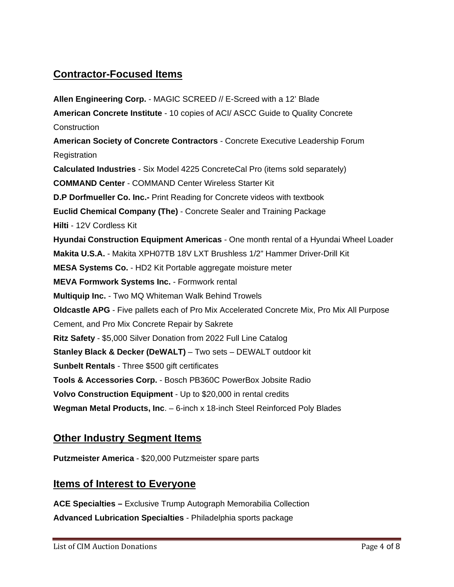# **Contractor-Focused Items**

**Allen Engineering Corp.** - MAGIC SCREED // E-Screed with a 12' Blade **American Concrete Institute** - 10 copies of ACI/ ASCC Guide to Quality Concrete **Construction American Society of Concrete Contractors** - Concrete Executive Leadership Forum **Registration Calculated Industries** - Six Model 4225 ConcreteCal Pro (items sold separately) **[COMMAND](http://www.commandcenterconcrete.com/) Center** - COMMAND Center Wireless Starter Kit **D.P Dorfmueller Co. Inc.-** Print Reading for Concrete videos with textbook **Euclid Chemical Company (The)** - Concrete Sealer and Training Package **Hilti** - 12V Cordless Kit **Hyundai Construction Equipment Americas** - One month rental of a Hyundai Wheel Loader **Makita U.S.A.** - Makita XPH07TB 18V LXT Brushless 1/2" Hammer Driver-Drill Kit **MESA Systems Co.** - HD2 Kit Portable aggregate moisture meter **MEVA Formwork Systems Inc.** - Formwork rental **Multiquip Inc.** - Two MQ Whiteman Walk Behind Trowels **Oldcastle APG** - Five pallets each of Pro Mix Accelerated Concrete Mix, Pro Mix All Purpose Cement, and Pro Mix Concrete Repair by Sakrete **Ritz Safety** - \$5,000 Silver Donation from 2022 Full Line Catalog **Stanley Black & Decker (DeWALT)** – Two sets – DEWALT outdoor kit **Sunbelt Rentals** - Three \$500 gift certificates **Tools & Accessories Corp.** - Bosch PB360C PowerBox Jobsite Radio **Volvo Construction Equipment** - Up to \$20,000 in rental credits **Wegman Metal Products, Inc**. – 6-inch x 18-inch Steel Reinforced Poly Blades

### **Other Industry Segment Items**

**Putzmeister America** - \$20,000 Putzmeister spare parts

#### **Items of Interest to Everyone**

**ACE Specialties –** Exclusive Trump Autograph Memorabilia Collection **Advanced [Lubrication](https://www.aoeteam.com/) Specialties** - Philadelphia sports package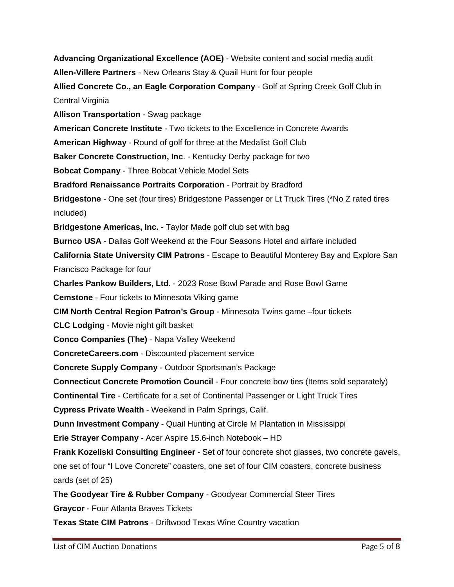**Advancing Organizational Excellence (AOE)** - Website content and social media audit **Allen-Villere Partners** - New Orleans Stay & Quail Hunt for four people **Allied Concrete Co., an Eagle Corporation Company** - Golf at Spring Creek Golf Club in Central Virginia **Allison Transportation** - Swag package **American Concrete Institute** - Two tickets to the Excellence in Concrete Awards **American Highway** - Round of golf for three at the Medalist Golf Club **Baker Concrete Construction, Inc**. - Kentucky Derby package for two **Bobcat [Company](http://www.doosanbobcat.com/)** - Three Bobcat Vehicle Model Sets **Bradford Renaissance Portraits Corporation** - Portrait by Bradford **Bridgestone** - One set (four tires) Bridgestone Passenger or Lt Truck Tires (\*No Z rated tires included) **Bridgestone Americas, Inc.** - Taylor Made golf club set with bag **Burnco USA** - Dallas Golf Weekend at the Four Seasons Hotel and airfare included **California State University CIM Patrons** - Escape to Beautiful Monterey Bay and Explore San Francisco Package for four **Charles Pankow Builders, Ltd**. - 2023 Rose Bowl Parade and Rose Bowl Game **Cemstone** - Four tickets to Minnesota Viking game **CIM North Central Region Patron's Group** - Minnesota Twins game –four tickets **CLC Lodging** - Movie night gift basket **Conco Companies (The)** - Napa Valley Weekend **ConcreteCareers.com** - Discounted placement service **Concrete Supply Company** - Outdoor Sportsman's Package **[Connecticut](http://www.etsy.com/shop/ZEOLLI) Concrete Promotion Council** - Four concrete bow ties (Items sold separately) **Continental Tire** - Certificate for a set of Continental Passenger or Light Truck Tires **Cypress Private Wealth** - Weekend in Palm Springs, Calif. **Dunn Investment Company** - Quail Hunting at Circle M Plantation in Mississippi **Erie Strayer Company** - Acer Aspire 15.6-inch Notebook – HD **Frank Kozeliski Consulting Engineer** - Set of four concrete shot glasses, two concrete gavels, one set of four "I Love Concrete" coasters, one set of four CIM coasters, concrete business cards (set of 25) **The Goodyear Tire & Rubber Company** - Goodyear Commercial Steer Tires **Graycor** - Four Atlanta Braves Tickets **Texas State CIM Patrons** - Driftwood Texas Wine Country vacation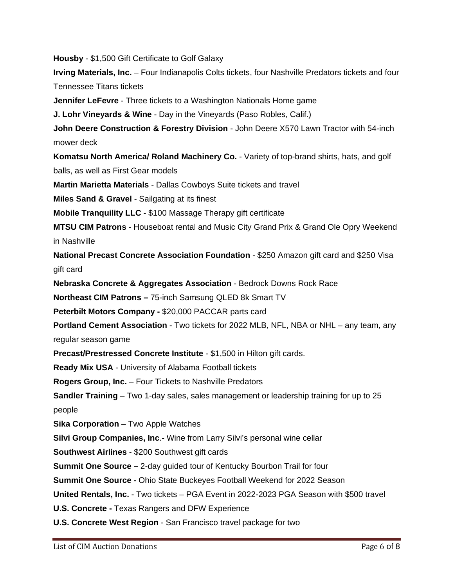**Housby** - \$1,500 Gift Certificate to Golf Galaxy

**Irving Materials, Inc.** – Four Indianapolis Colts tickets, four Nashville Predators tickets and four Tennessee Titans tickets

**Jennifer LeFevre** - Three tickets to a Washington Nationals Home game

**J. Lohr Vineyards & Wine** - Day in the Vineyards (Paso Robles, Calif.)

**John Deere Construction & Forestry Division** - John Deere X570 Lawn Tractor with 54-inch mower deck

**Komatsu North America/ Roland Machinery Co.** - Variety of top-brand shirts, hats, and golf balls, as well as First Gear models

**Martin Marietta [Materials](http://www.martinmarietta.com/)** - Dallas Cowboys Suite tickets and travel

**Miles Sand & Gravel** - Sailgating at its finest

**Mobile Tranquility LLC** - \$100 Massage Therapy gift certificate

**MTSU CIM Patrons** - Houseboat rental and Music City Grand Prix & Grand Ole Opry Weekend in Nashville

**National Precast Concrete Association Foundation** - \$250 Amazon gift card and \$250 Visa gift card

**Nebraska Concrete & Aggregates Association** - Bedrock Downs Rock Race

**Northeast CIM Patrons –** 75-inch Samsung QLED 8k Smart TV

**Peterbilt Motors Company -** \$20,000 PACCAR parts card

**Portland Cement Association** - Two tickets for 2022 MLB, NFL, NBA or NHL – any team, any regular season game

**Precast/Prestressed Concrete Institute** - \$1,500 in Hilton gift cards.

**Ready Mix USA** - University of Alabama Football tickets

**Rogers Group, Inc.** – Four Tickets to Nashville Predators

**Sandler Training** – Two 1-day sales, sales management or leadership training for up to 25 people

**Sika Corporation** – Two Apple Watches

**Silvi Group Companies, Inc**.- Wine from Larry Silvi's personal wine cellar

**[Southwest](http://www.southwest.com/) Airlines** - \$200 Southwest gift cards

**Summit One Source –** 2-day guided tour of Kentucky Bourbon Trail for four

**Summit One Source -** Ohio State Buckeyes Football Weekend for 2022 Season

**United [Rentals,](http://www.unitedrentals.com/) Inc.** - Two tickets – PGA Event in 2022-2023 PGA Season with \$500 travel

**U.S. Concrete -** Texas Rangers and DFW Experience

**U.S. Concrete West Region** - San Francisco travel package for two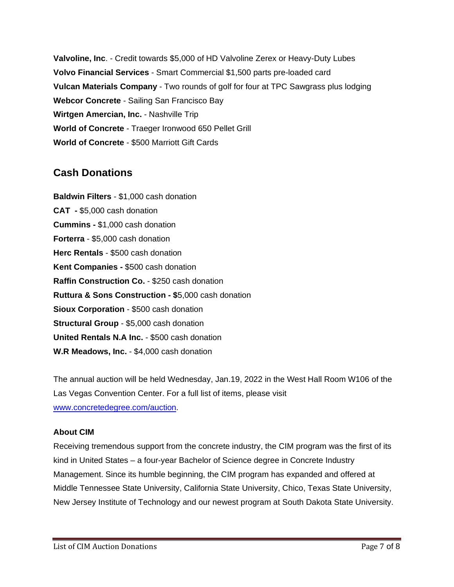**Valvoline, Inc**. - Credit towards \$5,000 of HD Valvoline Zerex or Heavy-Duty Lubes **Volvo [Financial](http://www.vfsco.com/) Services** - Smart Commercial \$1,500 parts pre-loaded card **Vulcan Materials Company** - Two rounds of golf for four at TPC Sawgrass plus lodging **Webcor Concrete** - Sailing San Francisco Bay **Wirtgen Amercian, Inc.** - Nashville Trip **World of Concrete** - Traeger Ironwood 650 Pellet Grill **World of [Concrete](http://www.worldofconcrete.com/)** - \$500 Marriott Gift Cards

# **Cash Donations**

**Baldwin Filters** - \$1,000 cash donation **[CAT -](http://www.cat.com/)** \$5,000 cash donation **[Cummins](http://www.cummins.com/) -** \$1,000 cash donation **Forterra** - \$5,000 cash donation **Herc Rentals** - \$500 cash donation **Kent [Companies](http://www.kentcompanies.com/) -** \$500 cash donation **Raffin Construction Co.** - \$250 cash donation **Ruttura & Sons [Construction](http://www.unitedrentals.com/) - \$**5,000 cash donation **Sioux Corporation** - \$500 cash donation **Structural Group** - \$5,000 cash donation **United Rentals N.A Inc.** - \$500 cash donation **W.R Meadows, Inc.** - \$4,000 cash donation

The annual auction will be held Wednesday, Jan.19, 2022 in the West Hall Room W106 of the Las Vegas Convention Center. For a full list of items, please visit [www.concretedegree.com/auction.](http://www.concretedegree.com/auction)

#### **About CIM**

Receiving tremendous support from the concrete industry, the CIM program was the first of its kind in United States – a four-year Bachelor of Science degree in Concrete Industry Management. Since its humble beginning, the CIM program has expanded and offered at Middle Tennessee State University, California State University, Chico, Texas State University, New Jersey Institute of Technology and our newest program at South Dakota State University.